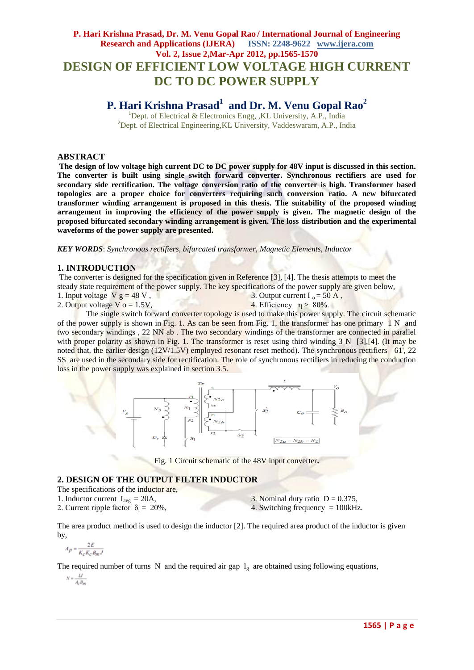## **P. Hari Krishna Prasad, Dr. M. Venu Gopal Rao / International Journal of Engineering Research and Applications (IJERA) ISSN: 2248-9622 www.ijera.com Vol. 2, Issue 2,Mar-Apr 2012, pp.1565-1570 DESIGN OF EFFICIENT LOW VOLTAGE HIGH CURRENT DC TO DC POWER SUPPLY**

# **P. Hari Krishna Prasad<sup>1</sup> and Dr. M. Venu Gopal Rao<sup>2</sup>**

 $1$ Dept. of Electrical & Electronics Engg, ,KL University, A.P., India  $^{2}$ Dept. of Electrical Engineering, KL University, Vaddeswaram, A.P., India

#### **ABSTRACT**

**The design of low voltage high current DC to DC power supply for 48V input is discussed in this section. The converter is built using single switch forward converter. Synchronous rectifiers are used for secondary side rectification. The voltage conversion ratio of the converter is high. Transformer based topologies are a proper choice for converters requiring such conversion ratio. A new bifurcated transformer winding arrangement is proposed in this thesis. The suitability of the proposed winding arrangement in improving the efficiency of the power supply is given. The magnetic design of the proposed bifurcated secondary winding arrangement is given. The loss distribution and the experimental waveforms of the power supply are presented.** 

*KEY WORDS*: *Synchronous rectifiers, bifurcated transformer, Magnetic Elements, Inductor*

#### **1. INTRODUCTION**

The converter is designed for the specification given in Reference [3], [4]. The thesis attempts to meet the steady state requirement of the power supply. The key specifications of the power supply are given below,

- 1. Input voltage  $V g = 48 V$ , 3. Output current  $I_0 = 50 \text{ A}$ ,
- 2. Output voltage  $V_0 = 1.5V$ , 4. Efficiency  $n > 80\%$ .

The single switch forward converter topology is used to make this power supply. The circuit schematic of the power supply is shown in Fig. 1. As can be seen from Fig. 1, the transformer has one primary  $1 N$  and two secondary windings , 22 NN ab . The two secondary windings of the transformer are connected in parallel with proper polarity as shown in Fig. 1. The transformer is reset using third winding  $3 N$  [3],[4]. (It may be noted that, the earlier design (12V/1.5V) employed resonant reset method). The synchronous rectifiers 61', 22 SS are used in the secondary side for rectification. The role of synchronous rectifiers in reducing the conduction loss in the power supply was explained in section 3.5.



Fig. 1 Circuit schematic of the 48V input converter**.**

## **2. DESIGN OF THE OUTPUT FILTER INDUCTOR**

- The specifications of the inductor are,
- 1. Inductor current  $I_{avg} = 20A$ ,

2. Current ripple factor  $\delta_i = 20\%$ ,

3. Nominal duty ratio  $D = 0.375$ , 4. Switching frequency  $= 100kHz$ .

The area product method is used to design the inductor [2]. The required area product of the inductor is given by,

$$
A_p = \frac{2E}{K_c K_c B_m J}
$$

The required number of turns N and the required air gap  $l_g$  are obtained using following equations,

 $N = \frac{LI}{A_0 B_m}$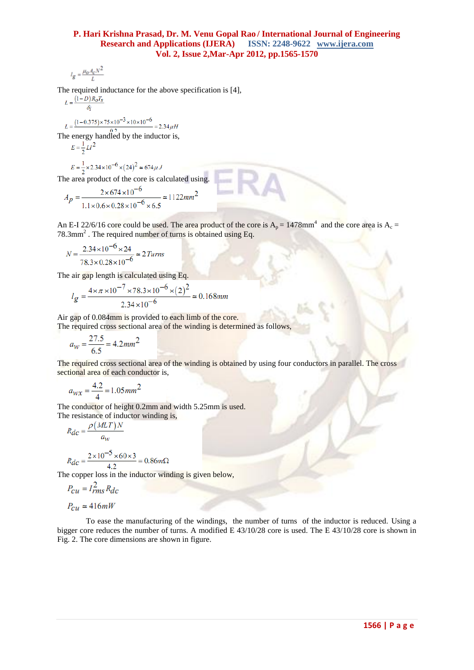$$
l_g = \frac{\mu_o A_c N^2}{L}
$$

The required inductance for the above specification is [4],

$$
L = \frac{(1 - D)R_O T_S}{\delta_i}
$$

 $L = \frac{(1 - 0.375) \times 75 \times 10^{-3} \times 10 \times 10^{-6}}{10^{6} \text{ N}}$  $= 2.34 \mu H$ 

The energy handled by the inductor is,<br> $E = \frac{1}{2}LI^2$ 

$$
=\frac{1}{2}LI
$$

$$
E = \frac{1}{2} \times 2.34 \times 10^{-6} \times (24)^2 \approx 674 \,\mu \,.
$$

The area product of the core is calculated using.

$$
A_p = \frac{2 \times 674 \times 10^{-6}}{1.1 \times 0.6 \times 0.28 \times 10^{-6} \times 6.5} \approx 1122 \, mm^2
$$

An E-I 22/6/16 core could be used. The area product of the core is  $A_p = 1478$ mm<sup>4</sup> and the core area is  $A_c =$  $78.3$ mm<sup>2</sup>. The required number of turns is obtained using Eq.

$$
N = \frac{2.34 \times 10^{-6} \times 24}{78.3 \times 0.28 \times 10^{-6}} \approx 2 \text{ Turns}
$$

The air gap length is calculated using Eq.

$$
l_g = \frac{4 \times \pi \times 10^{-7} \times 78.3 \times 10^{-6} \times (2)^2}{2.34 \times 10^{-6}} \approx 0.168 \text{mm}
$$

Air gap of 0.084mm is provided to each limb of the core.

The required cross sectional area of the winding is determined as follows,

$$
a_W = \frac{27.5}{6.5} = 4.2 \, mm^2
$$

The required cross sectional area of the winding is obtained by using four conductors in parallel. The cross sectional area of each conductor is,

$$
a_{WX} = \frac{4.2}{4} = 1.05 \, \text{mm}^2
$$

The conductor of height 0.2mm and width 5.25mm is used. The resistance of inductor winding is.

$$
R_{dc} = \frac{\rho (MLT)N}{a_W}
$$
  

$$
R_{dc} = \frac{2 \times 10^{-5} \times 60 \times 3}{4.2} = 0.86 m\Omega
$$

 $4.2$ The copper loss in the inductor winding is given below,

$$
P_{Cu} = I_{rms}^2 R_{dc}
$$

 $P_{cu} \simeq 416mW$ 

To ease the manufacturing of the windings, the number of turns of the inductor is reduced. Using a bigger core reduces the number of turns. A modified E 43/10/28 core is used. The E 43/10/28 core is shown in Fig. 2. The core dimensions are shown in figure.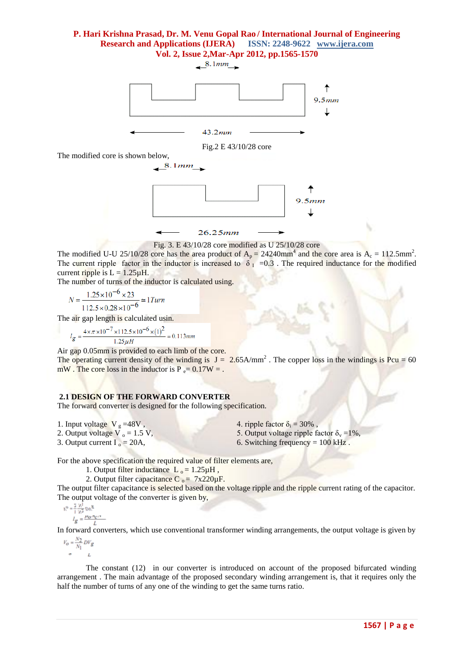$8.1mm$ 



Fig. 3. E 43/10/28 core modified as U 25/10/28 core

 $26.25mm$ 

The modified U-U 25/10/28 core has the area product of  $A_p = 24240$  mm<sup>4</sup> and the core area is  $A_c = 112.5$  mm<sup>2</sup>. The current ripple factor in the inductor is increased to  $\delta_1$  =0.3. The required inductance for the modified current ripple is  $L = 1.25 \mu H$ .

The number of turns of the inductor is calculated using.

 $N = \frac{1.25 \times 10^{-6} \times 23}{112.5 \times 0.28 \times 10^{-6}} \approx 1$  Turn

The air gap length is calculated usin.

$$
l_g = \frac{4 \times \pi \times 10^{-7} \times 112.5 \times 10^{-6} \times (1)^2}{1.25 \mu H} = 0.113 mm
$$

Air gap 0.05mm is provided to each limb of the core.

The operating current density of the winding is  $J = 2.65$ A/mm<sup>2</sup>. The copper loss in the windings is Pcu = 60 mW. The core loss in the inductor is  $P_e = 0.17W =$ .

#### **2.1 DESIGN OF THE FORWARD CONVERTER**

The forward converter is designed for the following specification.

- 1. Input voltage  $V_g = 48V$ ,
- 2. Output voltage  $\overline{V}_0 = 1.5 \text{ V}$ ,
- 3. Output current  $I_0 = 20A$ ,
- 4. ripple factor  $\delta_i = 30\%$ .
- 5. Output voltage ripple factor  $\delta_y = 1\%$ ,
- 6. Switching frequency  $= 100$  kHz.

For the above specification the required value of filter elements are,

- 1. Output filter inductance  $L_0 = 1.25 \mu H$ ,
- 2. Output filter capacitance  $C_0 = 7x220 \mu F$ .

The output filter capacitance is selected based on the voltage ripple and the ripple current rating of the capacitor. The output voltage of the converter is given by,

$$
\frac{1^{\mathbf{S}} = \frac{1}{h0 \cdot u0 \cdot v}}{h_0 = \frac{1}{2} \frac{N_2}{N_1} DFg}
$$

In forward converters, which use conventional transformer winding arrangements, the output voltage is given by  $M_{\rm m}$ 

$$
V_O = \frac{N_2}{N_1} DV_g
$$

The constant (12) in our converter is introduced on account of the proposed bifurcated winding arrangement . The main advantage of the proposed secondary winding arrangement is, that it requires only the half the number of turns of any one of the winding to get the same turns ratio.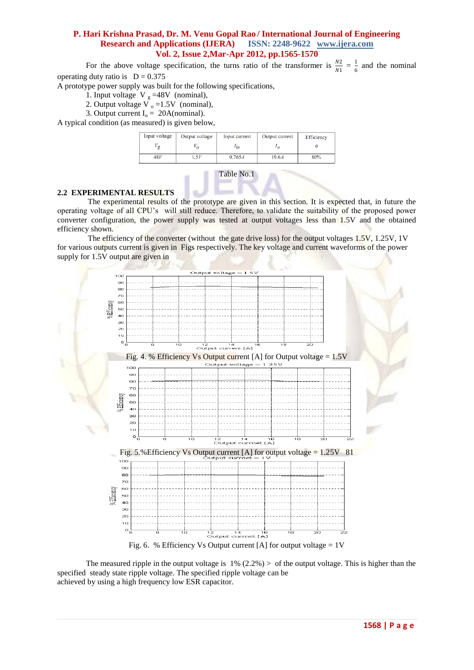For the above voltage specification, the turns ratio of the transformer is  $\frac{N2}{N1} = \frac{1}{6}$  $\frac{1}{6}$  and the nominal operating duty ratio is  $D = 0.375$ 

A prototype power supply was built for the following specifications,

1. Input voltage  $V_g = 48V$  (nominal),

- 2. Output voltage  $\overline{V}_0 = 1.5V$  (nominal),
- 3. Output current  $I_0 = 20A$ (nominal).

A typical condition (as measured) is given below,

| Input voltage | Output voltage | Input current | Output current | Efficiency |
|---------------|----------------|---------------|----------------|------------|
|               |                | in            |                |            |
| 48V           |                | 0.765A        | 19.6.4         | 80%        |



#### **2.2 EXPERIMENTAL RESULTS**

The experimental results of the prototype are given in this section. It is expected that, in future the operating voltage of all CPU's will still reduce. Therefore, to validate the suitability of the proposed power converter configuration, the power supply was tested at output voltages less than 1.5V and the obtained efficiency shown.

The efficiency of the converter (without the gate drive loss) for the output voltages 1.5V, 1.25V, 1V for various outputs current is given in Figs respectively. The key voltage and current waveforms of the power supply for 1.5V output are given in



Fig. 6. % Efficiency Vs Output current [A] for output voltage =  $1V$ 

The measured ripple in the output voltage is  $1\%$  (2.2%) > of the output voltage. This is higher than the specified steady state ripple voltage. The specified ripple voltage can be achieved by using a high frequency low ESR capacitor.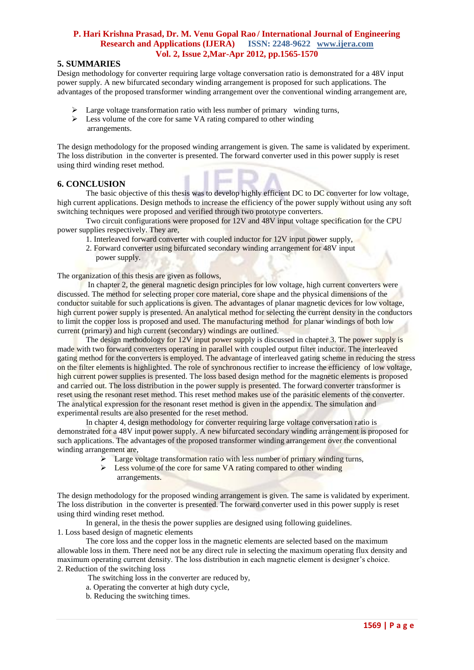## **5. SUMMARIES**

Design methodology for converter requiring large voltage conversation ratio is demonstrated for a 48V input power supply. A new bifurcated secondary winding arrangement is proposed for such applications. The advantages of the proposed transformer winding arrangement over the conventional winding arrangement are,

- $\geq$  Large voltage transformation ratio with less number of primary winding turns,
- $\triangleright$  Less volume of the core for same VA rating compared to other winding arrangements.

The design methodology for the proposed winding arrangement is given. The same is validated by experiment. The loss distribution in the converter is presented. The forward converter used in this power supply is reset using third winding reset method.

#### **6. CONCLUSION**

The basic objective of this thesis was to develop highly efficient DC to DC converter for low voltage, high current applications. Design methods to increase the efficiency of the power supply without using any soft switching techniques were proposed and verified through two prototype converters.

Two circuit configurations were proposed for 12V and 48V input voltage specification for the CPU power supplies respectively. They are,

- 1. Interleaved forward converter with coupled inductor for 12V input power supply,
- 2. Forward converter using bifurcated secondary winding arrangement for 48V input power supply.

The organization of this thesis are given as follows,

In chapter 2, the general magnetic design principles for low voltage, high current converters were discussed. The method for selecting proper core material, core shape and the physical dimensions of the conductor suitable for such applications is given. The advantages of planar magnetic devices for low voltage, high current power supply is presented. An analytical method for selecting the current density in the conductors to limit the copper loss is proposed and used. The manufacturing method for planar windings of both low current (primary) and high current (secondary) windings are outlined.

The design methodology for 12V input power supply is discussed in chapter 3. The power supply is made with two forward converters operating in parallel with coupled output filter inductor. The interleaved gating method for the converters is employed. The advantage of interleaved gating scheme in reducing the stress on the filter elements is highlighted. The role of synchronous rectifier to increase the efficiency of low voltage, high current power supplies is presented. The loss based design method for the magnetic elements is proposed and carried out. The loss distribution in the power supply is presented. The forward converter transformer is reset using the resonant reset method. This reset method makes use of the parasitic elements of the converter. The analytical expression for the resonant reset method is given in the appendix. The simulation and experimental results are also presented for the reset method.

In chapter 4, design methodology for converter requiring large voltage conversation ratio is demonstrated for a 48V input power supply. A new bifurcated secondary winding arrangement is proposed for such applications. The advantages of the proposed transformer winding arrangement over the conventional winding arrangement are,

- Large voltage transformation ratio with less number of primary winding turns,
- $\triangleright$  Less volume of the core for same VA rating compared to other winding arrangements.

The design methodology for the proposed winding arrangement is given. The same is validated by experiment. The loss distribution in the converter is presented. The forward converter used in this power supply is reset using third winding reset method.

In general, in the thesis the power supplies are designed using following guidelines. 1. Loss based design of magnetic elements

The core loss and the copper loss in the magnetic elements are selected based on the maximum allowable loss in them. There need not be any direct rule in selecting the maximum operating flux density and maximum operating current density. The loss distribution in each magnetic element is designer's choice. 2. Reduction of the switching loss

The switching loss in the converter are reduced by,

- a. Operating the converter at high duty cycle,
- b. Reducing the switching times.